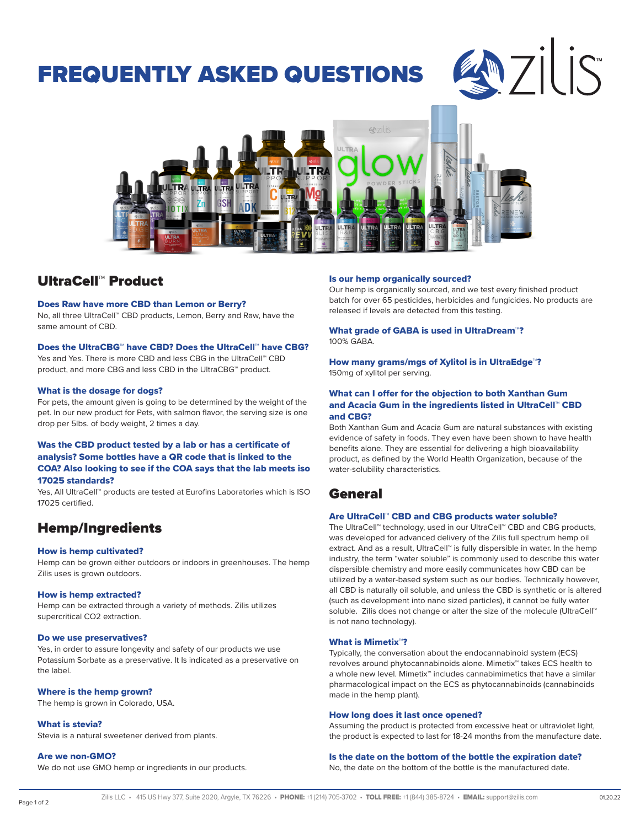# FREQUENTLY ASKED QUESTIONS

# EM 71 IS



# UltraCell™ Product

#### Does Raw have more CBD than Lemon or Berry?

No, all three UltraCell™ CBD products, Lemon, Berry and Raw, have the same amount of CBD.

#### Does the UltraCBG™ have CBD? Does the UltraCell™ have CBG?

Yes and Yes. There is more CBD and less CBG in the UltraCell™ CBD product, and more CBG and less CBD in the UltraCBG™ product.

#### What is the dosage for dogs?

For pets, the amount given is going to be determined by the weight of the pet. In our new product for Pets, with salmon flavor, the serving size is one drop per 5lbs. of body weight, 2 times a day.

#### Was the CBD product tested by a lab or has a certificate of analysis? Some bottles have a QR code that is linked to the COA? Also looking to see if the COA says that the lab meets iso 17025 standards?

Yes, All UltraCell™ products are tested at Eurofins Laboratories which is ISO 17025 certified.

## Hemp/Ingredients

#### How is hemp cultivated?

Hemp can be grown either outdoors or indoors in greenhouses. The hemp Zilis uses is grown outdoors.

#### How is hemp extracted?

Hemp can be extracted through a variety of methods. Zilis utilizes supercritical CO2 extraction.

#### Do we use preservatives?

Yes, in order to assure longevity and safety of our products we use Potassium Sorbate as a preservative. It Is indicated as a preservative on the label.

#### Where is the hemp grown?

The hemp is grown in Colorado, USA.

#### What is stevia?

Stevia is a natural sweetener derived from plants.

#### Are we non-GMO?

We do not use GMO hemp or ingredients in our products.

#### Is our hemp organically sourced?

Our hemp is organically sourced, and we test every finished product batch for over 65 pesticides, herbicides and fungicides. No products are released if levels are detected from this testing.

#### What grade of GABA is used in UltraDream™? 100% GABA.

How many grams/mgs of Xylitol is in UltraEdge™? 150mg of xylitol per serving.

#### What can I offer for the objection to both Xanthan Gum and Acacia Gum in the ingredients listed in UltraCell™ CBD and CBG?

Both Xanthan Gum and Acacia Gum are natural substances with existing evidence of safety in foods. They even have been shown to have health benefits alone. They are essential for delivering a high bioavailability product, as defined by the World Health Organization, because of the water-solubility characteristics.

### General

#### Are UltraCell™ CBD and CBG products water soluble?

The UltraCell™ technology, used in our UltraCell™ CBD and CBG products, was developed for advanced delivery of the Zilis full spectrum hemp oil extract. And as a result, UltraCell™ is fully dispersible in water. In the hemp industry, the term "water soluble" is commonly used to describe this water dispersible chemistry and more easily communicates how CBD can be utilized by a water-based system such as our bodies. Technically however, all CBD is naturally oil soluble, and unless the CBD is synthetic or is altered (such as development into nano sized particles), it cannot be fully water soluble. Zilis does not change or alter the size of the molecule (UltraCell™ is not nano technology).

#### What is Mimetix™?

Typically, the conversation about the endocannabinoid system (ECS) revolves around phytocannabinoids alone. Mimetix™ takes ECS health to a whole new level. Mimetix™ includes cannabimimetics that have a similar pharmacological impact on the ECS as phytocannabinoids (cannabinoids made in the hemp plant).

#### How long does it last once opened?

Assuming the product is protected from excessive heat or ultraviolet light, the product is expected to last for 18-24 months from the manufacture date.

#### Is the date on the bottom of the bottle the expiration date?

No, the date on the bottom of the bottle is the manufactured date.